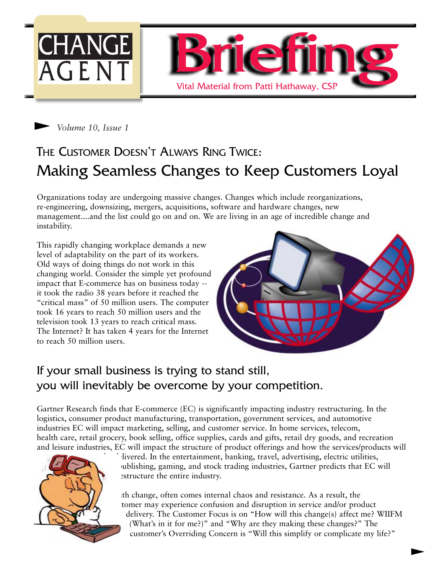



# THE CUSTOMER DOESN'T ALWAYS RING TWICE: Making Seamless Changes to Keep Customers Loyal

Organizations today are undergoing massive changes. Changes which include reorganizations, re-engineering, downsizing, mergers, acquisitions, software and hardware changes, new management....and the list could go on and on. We are living in an age of incredible change and instability.

This rapidly changing workplace demands a new level of adaptability on the part of its workers. Old ways of doing things do not work in this changing world. Consider the simple yet profound impact that E-commerce has on business today - it took the radio 38 years before it reached the "critical mass" of 50 million users. The computer took 16 years to reach 50 million users and the television took 13 years to reach critical mass. The Internet? It has taken 4 years for the Internet to reach 50 million users.



### If your small business is trying to stand still, you will inevitably be overcome by your competition.

Gartner Research finds that E-commerce (EC) is significantly impacting industry restructuring. In the logistics, consumer product manufacturing, transportation, government services, and automotive industries EC will impact marketing, selling, and customer service. In home services, telecom, health care, retail grocery, book selling, office supplies, cards and gifts, retail dry goods, and recreation and leisure industries, EC will impact the structure of product offerings and how the services/products will



livered. In the entertainment, banking, travel, advertising, electric utilities, publishing, gaming, and stock trading industries, Gartner predicts that EC will estructure the entire industry.

With change, often comes internal chaos and resistance. As a result, the tomer may experience confusion and disruption in service and/or product delivery. The Customer Focus is on "How will this change(s) affect me? WIIFM (What's in it for me?)" and "Why are they making these changes?" The customer's Overriding Concern is "Will this simplify or complicate my life?"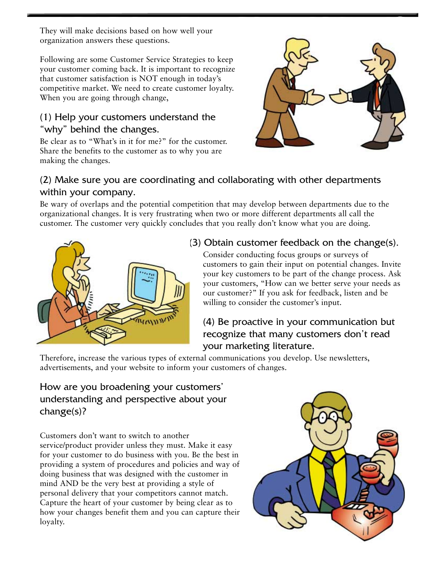They will make decisions based on how well your organization answers these questions.

Following are some Customer Service Strategies to keep your customer coming back. It is important to recognize that customer satisfaction is NOT enough in today's competitive market. We need to create customer loyalty. When you are going through change,

### (1) Help your customers understand the "why" behind the changes.

Be clear as to "What's in it for me?" for the customer. Share the benefits to the customer as to why you are making the changes.



#### (2) Make sure you are coordinating and collaborating with other departments within your company.

Be wary of overlaps and the potential competition that may develop between departments due to the organizational changes. It is very frustrating when two or more different departments all call the customer. The customer very quickly concludes that you really don't know what you are doing.



#### (3) Obtain customer feedback on the change(s).

Consider conducting focus groups or surveys of customers to gain their input on potential changes. Invite your key customers to be part of the change process. Ask your customers, "How can we better serve your needs as our customer?" If you ask for feedback, listen and be willing to consider the customer's input.

### (4) Be proactive in your communication but recognize that many customers don't read your marketing literature.

Therefore, increase the various types of external communications you develop. Use newsletters, advertisements, and your website to inform your customers of changes.

#### How are you broadening your customers' understanding and perspective about your change(s)?

Customers don't want to switch to another service/product provider unless they must. Make it easy for your customer to do business with you. Be the best in providing a system of procedures and policies and way of doing business that was designed with the customer in mind AND be the very best at providing a style of personal delivery that your competitors cannot match. Capture the heart of your customer by being clear as to how your changes benefit them and you can capture their loyalty.